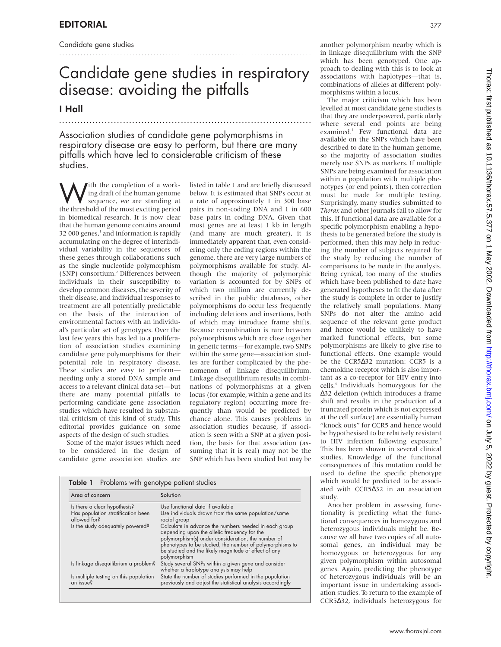Candidate gene studies

## Candidate gene studies in respiratory disease: avoiding the pitfalls I Hall

...................................................................................

...................................................................................

Association studies of candidate gene polymorphisms in respiratory disease are easy to perform, but there are many pitfalls which have led to considerable criticism of these studies.

With the completion of a work-<br>sequence, we are standing at<br>the threshold of the most exciting period ing draft of the human genome sequence, we are standing at the threshold of the most exciting period in biomedical research. It is now clear that the human genome contains around 32 000 genes, $1$  and information is rapidly accumulating on the degree of interindividual variability in the sequences of these genes through collaborations such as the single nucleotide polymorphism (SNP) consortium.2 Differences between individuals in their susceptibility to develop common diseases, the severity of their disease, and individual responses to treatment are all potentially predictable on the basis of the interaction of environmental factors with an individual's particular set of genotypes. Over the last few years this has led to a proliferation of association studies examining candidate gene polymorphisms for their potential role in respiratory disease. These studies are easy to perform needing only a stored DNA sample and access to a relevant clinical data set—but there are many potential pitfalls to performing candidate gene association studies which have resulted in substantial criticism of this kind of study. This editorial provides guidance on some aspects of the design of such studies.

Some of the major issues which need to be considered in the design of candidate gene association studies are

listed in table 1 and are briefly discussed below. It is estimated that SNPs occur at a rate of approximately 1 in 300 base pairs in non-coding DNA and 1 in 600 base pairs in coding DNA. Given that most genes are at least 1 kb in length (and many are much greater), it is immediately apparent that, even considering only the coding regions within the genome, there are very large numbers of polymorphisms available for study. Although the majority of polymorphic variation is accounted for by SNPs of which two million are currently described in the public databases, other polymorphisms do occur less frequently including deletions and insertions, both of which may introduce frame shifts. Because recombination is rare between polymorphisms which are close together in genetic terms—for example, two SNPs within the same gene—association studies are further complicated by the phenomenon of linkage disequilibrium. Linkage disequilibrium results in combinations of polymorphisms at a given locus (for example, within a gene and its regulatory region) occurring more frequently than would be predicted by chance alone. This causes problems in association studies because, if association is seen with a SNP at a given position, the basis for that association (assuming that it is real) may not be the SNP which has been studied but may be

| Area of concern                                     | Solution                                                                                                                                                                                                                                                                                        |
|-----------------------------------------------------|-------------------------------------------------------------------------------------------------------------------------------------------------------------------------------------------------------------------------------------------------------------------------------------------------|
| Is there a clear hypothesis?                        | Use functional data if available                                                                                                                                                                                                                                                                |
| Has population stratification been<br>allowed for?  | Use individuals drawn from the same population/same<br>racial group                                                                                                                                                                                                                             |
| Is the study adequately powered?                    | Calculate in advance the numbers needed in each group<br>depending upon the allelic frequency for the<br>polymorphism(s) under consideration, the number of<br>phenotypes to be studied, the number of polymorphisms to<br>be studied and the likely magnitude of effect of any<br>polymorphism |
| Is linkage disequilibrium a problem?                | Study several SNPs within a given gene and consider<br>whether a haplotype analysis may help                                                                                                                                                                                                    |
| Is multiple testing on this population<br>an issue? | State the number of studies performed in the population<br>previously and adjust the statistical analysis accordingly                                                                                                                                                                           |

another polymorphism nearby which is in linkage disequilibrium with the SNP which has been genotyped*.* One approach to dealing with this is to look at associations with haplotypes—that is, combinations of alleles at different polymorphisms within a locus.

The major criticism which has been levelled at most candidate gene studies is that they are underpowered, particularly where several end points are being examined.<sup>3</sup> Few functional data are available on the SNPs which have been described to date in the human genome, so the majority of association studies merely use SNPs as markers. If multiple SNPs are being examined for association within a population with multiple phenotypes (or end points), then correction must be made for multiple testing. Surprisingly, many studies submitted to *Thorax* and other journals fail to allow for this. If functional data are available for a specific polymorphism enabling a hypothesis to be generated before the study is performed, then this may help in reducing the number of subjects required for the study by reducing the number of comparisons to be made in the analysis. Being cynical, too many of the studies which have been published to date have generated hypotheses to fit the data after the study is complete in order to justify the relatively small populations. Many SNPs do not alter the amino acid sequence of the relevant gene product and hence would be unlikely to have marked functional effects, but some polymorphisms are likely to give rise to functional effects. One example would be the CCR5∆32 mutation: CCR5 is a chemokine receptor which is also important as a co-receptor for HIV entry into cells.4 Individuals homozygous for the ∆32 deletion (which introduces a frame shift and results in the production of a truncated protein which is not expressed at the cell surface) are essentially human "knock outs" for CCR5 and hence would be hypothesised to be relatively resistant to HIV infection following exposure.<sup>5</sup> This has been shown in several clinical studies. Knowledge of the functional consequences of this mutation could be used to define the specific phenotype which would be predicted to be associated with CCR5∆32 in an association study.

Another problem in assessing functionality is predicting what the functional consequences in homozygous and heterozygous individuals might be. Because we all have two copies of all autosomal genes, an individual may be homozygous or heterozygous for any given polymorphism within autosomal genes. Again, predicting the phenotype of heterozygous individuals will be an important issue in undertaking association studies. To return to the example of CCR5∆32, individuals heterozygous for